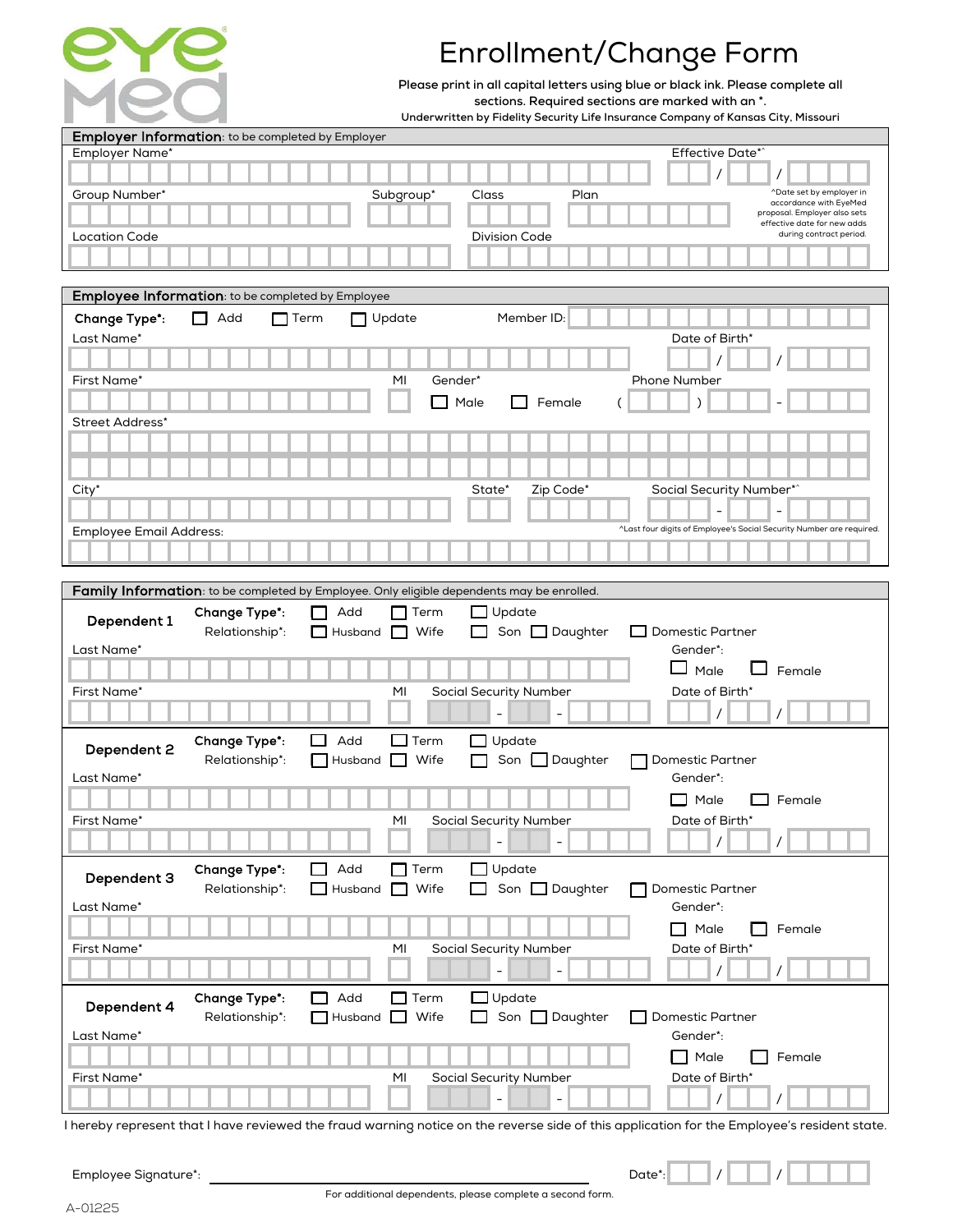

## Enrollment/Change Form

**Please print in all capital letters using blue or black ink. Please complete all sections. Required sections are marked with an \*.**

**Underwritten by Fidelity Security Life Insurance Company of Kansas City, Missouri**

|                                | Employer Information: to be completed by Employer                                          |                     |             |                               |                        |                         |                          |                                                                      |
|--------------------------------|--------------------------------------------------------------------------------------------|---------------------|-------------|-------------------------------|------------------------|-------------------------|--------------------------|----------------------------------------------------------------------|
| Employer Name*                 |                                                                                            |                     |             |                               | <b>Effective Date*</b> |                         |                          |                                                                      |
|                                |                                                                                            |                     |             |                               |                        |                         |                          |                                                                      |
|                                |                                                                                            |                     |             |                               | Plan                   |                         |                          | ^Date set by employer in                                             |
| Group Number*                  |                                                                                            |                     | Subgroup*   | Class                         |                        |                         |                          | accordance with EyeMed                                               |
|                                |                                                                                            |                     |             |                               |                        |                         |                          | proposal. Employer also sets<br>effective date for new adds          |
| <b>Location Code</b>           |                                                                                            |                     |             | <b>Division Code</b>          |                        |                         |                          | during contract period.                                              |
|                                |                                                                                            |                     |             |                               |                        |                         |                          |                                                                      |
|                                |                                                                                            |                     |             |                               |                        |                         |                          |                                                                      |
|                                | Employee Information: to be completed by Employee                                          |                     |             |                               |                        |                         |                          |                                                                      |
|                                |                                                                                            |                     |             |                               |                        |                         |                          |                                                                      |
| <b>Change Type*:</b>           | ГΙ<br>Add                                                                                  | Term                | Update      |                               | Member ID:             |                         |                          |                                                                      |
| Last Name*                     |                                                                                            |                     |             |                               |                        |                         | Date of Birth*           |                                                                      |
|                                |                                                                                            |                     |             |                               |                        |                         |                          |                                                                      |
| First Name*                    |                                                                                            |                     | MI          | Gender*                       |                        | Phone Number            |                          |                                                                      |
|                                |                                                                                            |                     |             |                               |                        |                         |                          |                                                                      |
|                                |                                                                                            |                     |             | Male                          | Female                 |                         |                          |                                                                      |
| Street Address*                |                                                                                            |                     |             |                               |                        |                         |                          |                                                                      |
|                                |                                                                                            |                     |             |                               |                        |                         |                          |                                                                      |
|                                |                                                                                            |                     |             |                               |                        |                         |                          |                                                                      |
|                                |                                                                                            |                     |             |                               |                        |                         |                          |                                                                      |
| City*                          |                                                                                            |                     |             | State'                        | Zip Code*              |                         | Social Security Number*^ |                                                                      |
|                                |                                                                                            |                     |             |                               |                        |                         |                          |                                                                      |
| <b>Employee Email Address:</b> |                                                                                            |                     |             |                               |                        |                         |                          | ^Last four digits of Employee's Social Security Number are required. |
|                                |                                                                                            |                     |             |                               |                        |                         |                          |                                                                      |
|                                |                                                                                            |                     |             |                               |                        |                         |                          |                                                                      |
|                                |                                                                                            |                     |             |                               |                        |                         |                          |                                                                      |
|                                | Family Information: to be completed by Employee. Only eligible dependents may be enrolled. |                     |             |                               |                        |                         |                          |                                                                      |
| Dependent 1                    | Change Type*:                                                                              | Add                 | Term        | Update                        |                        |                         |                          |                                                                      |
|                                | Relationship*:                                                                             | Husband             | Wife        | Son                           | $\Box$ Daughter        | <b>Domestic Partner</b> |                          |                                                                      |
| Last Name*                     |                                                                                            |                     |             |                               |                        | Gender*:                |                          |                                                                      |
|                                |                                                                                            |                     |             |                               |                        | $\Box$ Male             | ப                        | Female                                                               |
| First Name*                    |                                                                                            |                     | MI          | <b>Social Security Number</b> |                        |                         | Date of Birth*           |                                                                      |
|                                |                                                                                            |                     |             |                               |                        |                         |                          |                                                                      |
|                                |                                                                                            |                     |             |                               |                        |                         |                          |                                                                      |
|                                | Change Type*:                                                                              | $\Box$<br>Add       | $\Box$ Term | Update<br>П                   |                        |                         |                          |                                                                      |
| Dependent 2                    | Relationship*:                                                                             | Husband             | Wife        |                               | Son $\Box$ Daughter    |                         | Domestic Partner         |                                                                      |
| Last Name*                     |                                                                                            |                     |             |                               |                        | Gender*:                |                          |                                                                      |
|                                |                                                                                            |                     |             |                               |                        |                         |                          |                                                                      |
|                                |                                                                                            |                     |             |                               |                        | $\Box$ Male             |                          | Female                                                               |
| First Name*                    |                                                                                            |                     | MI          | <b>Social Security Number</b> |                        |                         | Date of Birth*           |                                                                      |
|                                |                                                                                            |                     |             |                               |                        |                         |                          |                                                                      |
|                                |                                                                                            |                     |             |                               |                        |                         |                          |                                                                      |
| Dependent 3                    | Change Type*:                                                                              | Add<br>$\mathbf{I}$ | $\Box$ Term | Update                        |                        |                         |                          |                                                                      |
|                                | Relationship*:                                                                             | Husband             | $\Box$ Wife |                               | Son <b>D</b> Daughter  |                         | Domestic Partner         |                                                                      |
| Last Name*                     |                                                                                            |                     |             |                               |                        | Gender*:                |                          |                                                                      |
|                                |                                                                                            |                     |             |                               |                        | $\Box$                  | Male                     | Female                                                               |
| First Name*                    |                                                                                            |                     | MI          | <b>Social Security Number</b> |                        |                         | Date of Birth*           |                                                                      |
|                                |                                                                                            |                     |             | $\overline{\phantom{a}}$      |                        |                         | 7                        | $\prime$                                                             |
|                                |                                                                                            |                     |             |                               |                        |                         |                          |                                                                      |
|                                | Change Type*:                                                                              | Add<br>I I          | $\Box$ Term | Update                        |                        |                         |                          |                                                                      |
| Dependent 4                    | Relationship*:                                                                             | Husband<br>- 1      | Wife        |                               | Son <b>D</b> Daughter  |                         | Domestic Partner         |                                                                      |
| Last Name*                     |                                                                                            |                     |             |                               |                        | Gender*:                |                          |                                                                      |
|                                |                                                                                            |                     |             |                               |                        |                         | Male                     | Female                                                               |
|                                |                                                                                            |                     |             |                               |                        |                         |                          |                                                                      |
| First Name*                    |                                                                                            |                     | MI          | Social Security Number        |                        |                         | Date of Birth*           |                                                                      |
|                                |                                                                                            |                     |             | $\overline{\phantom{a}}$      |                        |                         | $\prime$                 |                                                                      |

I hereby represent that I have reviewed the fraud warning notice on the reverse side of this application for the Employee's resident state.

| Employee Signature*: |  |
|----------------------|--|

/ /

Date\*: